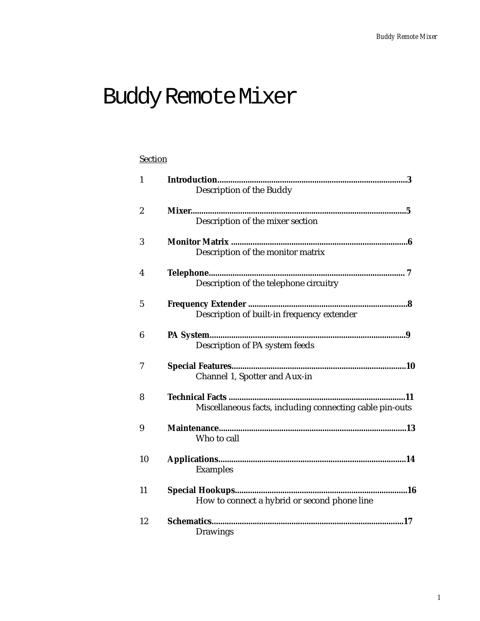# Buddy Remote Mixer

## **Section**

| $\mathbf{1}$     |                                                          |
|------------------|----------------------------------------------------------|
|                  | Description of the Buddy                                 |
| $\boldsymbol{2}$ |                                                          |
|                  | Description of the mixer section                         |
| 3                |                                                          |
|                  | Description of the monitor matrix                        |
| 4                |                                                          |
|                  | Description of the telephone circuitry                   |
| $\overline{5}$   |                                                          |
|                  | Description of built-in frequency extender               |
| 6                |                                                          |
|                  | Description of PA system feeds                           |
| 7                |                                                          |
|                  | Channel 1, Spotter and Aux-in                            |
| 8                |                                                          |
|                  | Miscellaneous facts, including connecting cable pin-outs |
| 9                |                                                          |
|                  | Who to call                                              |
| 10               |                                                          |
|                  | <b>Examples</b>                                          |
| 11               |                                                          |
|                  | How to connect a hybrid or second phone line             |
| 12               |                                                          |
|                  | <b>Drawings</b>                                          |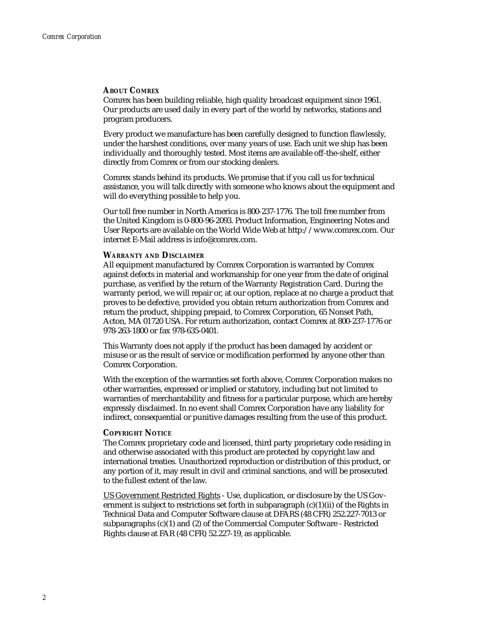#### **ABOUT COMREX**

Comrex has been building reliable, high quality broadcast equipment since 1961. Our products are used daily in every part of the world by networks, stations and program producers.

Every product we manufacture has been carefully designed to function flawlessly, under the harshest conditions, over many years of use. Each unit we ship has been individually and thoroughly tested. Most items are available off-the-shelf, either directly from Comrex or from our stocking dealers.

Comrex stands behind its products. We promise that if you call us for technical assistance, you will talk directly with someone who knows about the equipment and will do everything possible to help you.

Our toll free number in North America is 800-237-1776. The toll free number from the United Kingdom is 0-800-96-2093. Product Information, Engineering Notes and User Reports are available on the World Wide Web at http://www.comrex.com. Our internet E-Mail address is info@comrex.com.

#### **WARRANTY AND DISCLAIMER**

All equipment manufactured by Comrex Corporation is warranted by Comrex against defects in material and workmanship for one year from the date of original purchase, as verified by the return of the Warranty Registration Card. During the warranty period, we will repair or, at our option, replace at no charge a product that proves to be defective, provided you obtain return authorization from Comrex and return the product, shipping prepaid, to Comrex Corporation, 65 Nonset Path, Acton, MA 01720 USA. For return authorization, contact Comrex at 800-237-1776 or 978-263-1800 or fax 978-635-0401.

This Warranty does not apply if the product has been damaged by accident or misuse or as the result of service or modification performed by anyone other than Comrex Corporation.

With the exception of the warranties set forth above, Comrex Corporation makes no other warranties, expressed or implied or statutory, including but not limited to warranties of merchantability and fitness for a particular purpose, which are hereby expressly disclaimed. In no event shall Comrex Corporation have any liability for indirect, consequential or punitive damages resulting from the use of this product.

#### **COPYRIGHT NOTICE**

The Comrex proprietary code and licensed, third party proprietary code residing in and otherwise associated with this product are protected by copyright law and international treaties. Unauthorized reproduction or distribution of this product, or any portion of it, may result in civil and criminal sanctions, and will be prosecuted to the fullest extent of the law.

US Government Restricted Rights - Use, duplication, or disclosure by the US Government is subject to restrictions set forth in subparagraph (c)(1)(ii) of the Rights in Technical Data and Computer Software clause at DFARS (48 CFR) 252.227-7013 or subparagraphs (c)(1) and (2) of the Commercial Computer Software - Restricted Rights clause at FAR (48 CFR) 52.227-19, as applicable.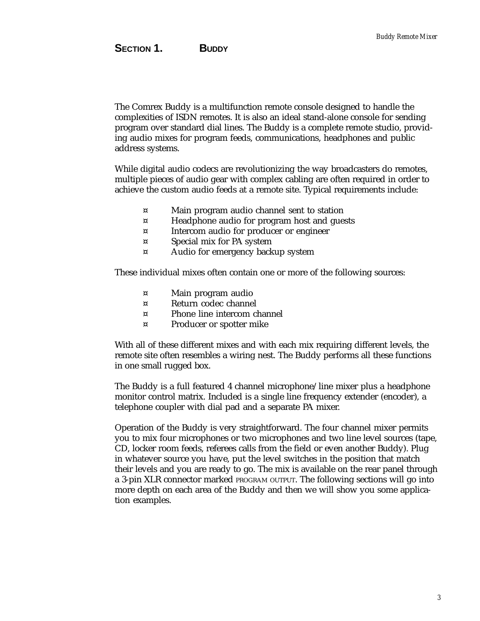The Comrex Buddy is a multifunction remote console designed to handle the complexities of ISDN remotes. It is also an ideal stand-alone console for sending program over standard dial lines. The Buddy is a complete remote studio, providing audio mixes for program feeds, communications, headphones and public address systems.

While digital audio codecs are revolutionizing the way broadcasters do remotes, multiple pieces of audio gear with complex cabling are often required in order to achieve the custom audio feeds at a remote site. Typical requirements include:

- ¤ Main program audio channel sent to station
- ¤ Headphone audio for program host and guests
- ¤ Intercom audio for producer or engineer
- ¤ Special mix for PA system
- ¤ Audio for emergency backup system

These individual mixes often contain one or more of the following sources:

- ¤ Main program audio
- ¤ Return codec channel
- ¤ Phone line intercom channel
- ¤ Producer or spotter mike

With all of these different mixes and with each mix requiring different levels, the remote site often resembles a wiring nest. The Buddy performs all these functions in one small rugged box.

The Buddy is a full featured 4 channel microphone/line mixer plus a headphone monitor control matrix. Included is a single line frequency extender (encoder), a telephone coupler with dial pad and a separate PA mixer.

Operation of the Buddy is very straightforward. The four channel mixer permits you to mix four microphones or two microphones and two line level sources (tape, CD, locker room feeds, referees calls from the field or even another Buddy). Plug in whatever source you have, put the level switches in the position that match their levels and you are ready to go. The mix is available on the rear panel through a 3-pin XLR connector marked PROGRAM OUTPUT. The following sections will go into more depth on each area of the Buddy and then we will show you some application examples.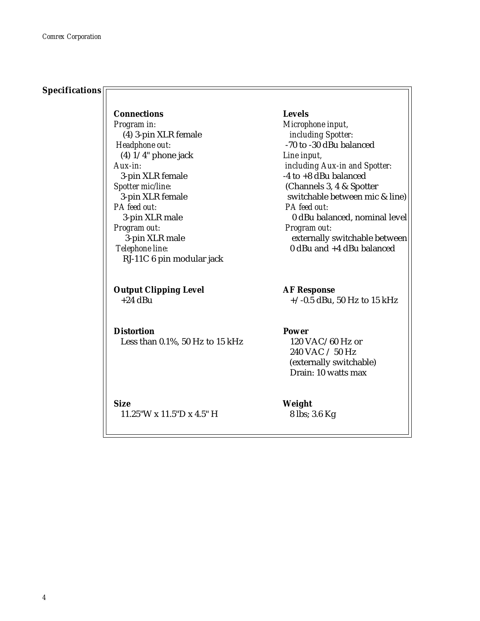### **Specifications**

**Connections Levels** *Program in: Microphone input,* (4) 3-pin XLR female *including Spotter: Headphone out:* -70 to -30 dBu balanced (4) 1/4" phone jack *Line input,* 3-pin XLR female  $-4$  to  $+8$  dBu balanced *Spotter mic/line:* (Channels 3, 4 & Spotter *PA feed out: PA feed out: Program out: Program out:* RJ-11C 6 pin modular jack

**Output Clipping Level AF Response** 

# **Distortion Power**

Less than 0.1%, 50 Hz to 15 kHz 120 VAC/60 Hz or

**Size Weight** 11.25"W x 11.5"D x 4.5" H 8 lbs; 3.6 Kg

*Aux-in: including Aux-in and Spotter:* 3-pin XLR female<br>
A feed out: <br>
A feed out: <br>
A feed out: 3-pin XLR male 0 dBu balanced, nominal level 3-pin XLR male externally switchable between *Telephone line:* 0 dBu and +4 dBu balanced

 $+24$  dBu  $+/-0.5$  dBu, 50 Hz to 15 kHz

 240 VAC / 50 Hz (externally switchable) Drain: 10 watts max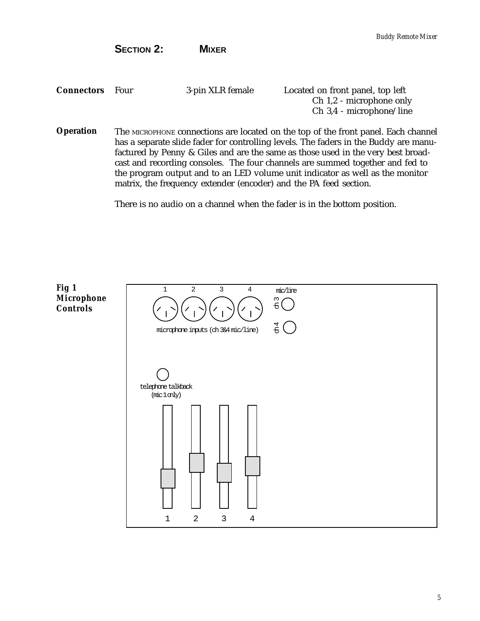**SECTION 2: MIXER**

| <b>Connectors</b> Four | 3-pin XLR female | Located on front panel, top left |
|------------------------|------------------|----------------------------------|
|                        |                  | Ch 1,2 - microphone only         |
|                        |                  | $Ch$ 3,4 - microphone/line       |

The MICROPHONE connections are located on the top of the front panel. Each channel has a separate slide fader for controlling levels. The faders in the Buddy are manufactured by Penny & Giles and are the same as those used in the very best broadcast and recording consoles. The four channels are summed together and fed to the program output and to an LED volume unit indicator as well as the monitor matrix, the frequency extender (encoder) and the PA feed section. **Operation**

There is no audio on a channel when the fader is in the bottom position.

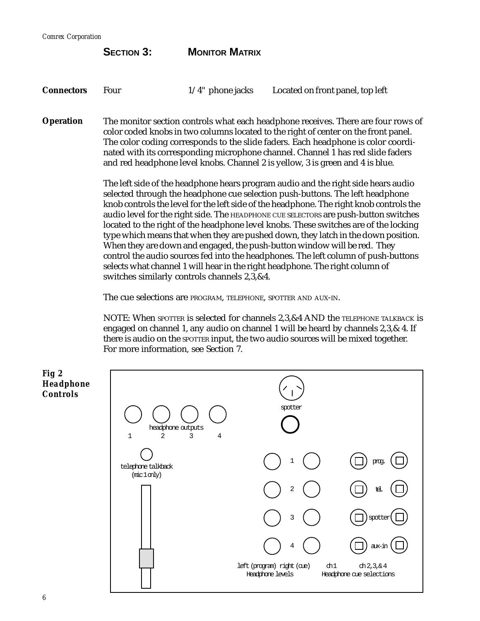*Comrex Corporation*

|                   | <b>SECTION 3:</b>                                                                                                                                                                                                                                                                                                                                                                                                                 | <b>MONITOR MATRIX</b> |                                                                                   |
|-------------------|-----------------------------------------------------------------------------------------------------------------------------------------------------------------------------------------------------------------------------------------------------------------------------------------------------------------------------------------------------------------------------------------------------------------------------------|-----------------------|-----------------------------------------------------------------------------------|
| <b>Connectors</b> | Four                                                                                                                                                                                                                                                                                                                                                                                                                              | $1/4$ " phone jacks   | Located on front panel, top left                                                  |
| <b>Operation</b>  | The monitor section controls what each headphone receives. There are four rows of<br>color coded knobs in two columns located to the right of center on the front panel.<br>The color coding corresponds to the slide faders. Each headphone is color coordi-<br>nated with its corresponding microphone channel. Channel 1 has red slide faders<br>and red headphone level knobs. Channel 2 is yellow, 3 is green and 4 is blue. |                       |                                                                                   |
|                   |                                                                                                                                                                                                                                                                                                                                                                                                                                   |                       | The left side of the headphone hears program audio and the right side hears audio |

The left side of the headphone hears program audio and the right side hears audio selected through the headphone cue selection push-buttons. The left headphone knob controls the level for the left side of the headphone. The right knob controls the audio level for the right side. The HEADPHONE CUE SELECTORS are push-button switches located to the right of the headphone level knobs. These switches are of the locking type which means that when they are pushed down, they latch in the down position. When they are down and engaged, the push-button window will be red. They control the audio sources fed into the headphones. The left column of push-buttons selects what channel 1 will hear in the right headphone. The right column of switches similarly controls channels 2,3,&4.

The cue selections are PROGRAM, TELEPHONE, SPOTTER AND AUX-IN.

NOTE: When SPOTTER is selected for channels 2,3,&4 AND the TELEPHONE TALKBACK is engaged on channel 1, any audio on channel 1 will be heard by channels 2,3,& 4. If there is audio on the SPOTTER input, the two audio sources will be mixed together. For more information, see Section 7.

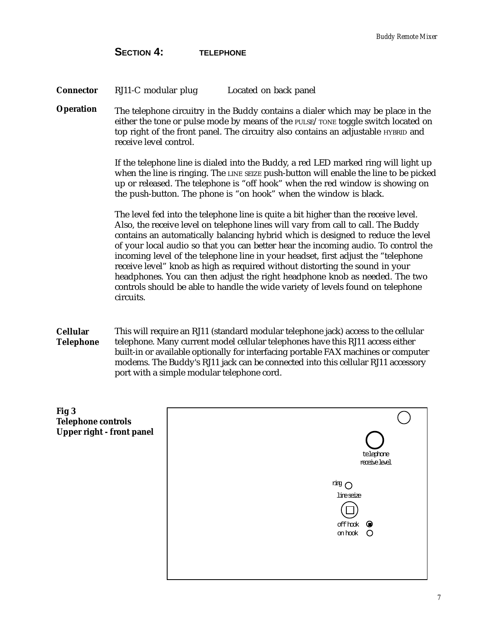**SECTION 4: TELEPHONE**

| Connector | RJ11-C modular plug | Located on back panel |
|-----------|---------------------|-----------------------|
|-----------|---------------------|-----------------------|

**Operation** The telephone circuitry in the Buddy contains a dialer which may be place in the either the tone or pulse mode by means of the PULSE/TONE toggle switch located on top right of the front panel. The circuitry also contains an adjustable HYBRID and receive level control.

> If the telephone line is dialed into the Buddy, a red LED marked ring will light up when the line is ringing. The LINE SEIZE push-button will enable the line to be picked up or released. The telephone is "off hook" when the red window is showing on the push-button. The phone is "on hook" when the window is black.

The level fed into the telephone line is quite a bit higher than the receive level. Also, the receive level on telephone lines will vary from call to call. The Buddy contains an automatically balancing hybrid which is designed to reduce the level of your local audio so that you can better hear the incoming audio. To control the incoming level of the telephone line in your headset, first adjust the "telephone receive level" knob as high as required without distorting the sound in your headphones. You can then adjust the right headphone knob as needed. The two controls should be able to handle the wide variety of levels found on telephone circuits.

**Cellular Telephone** This will require an RJ11 (standard modular telephone jack) access to the cellular telephone. Many current model cellular telephones have this RJ11 access either built-in or available optionally for interfacing portable FAX machines or computer modems. The Buddy's RJ11 jack can be connected into this cellular RJ11 accessory port with a simple modular telephone cord.

| Fig 3<br><b>Telephone controls</b><br>Upper right - front panel | telephone<br>receive level.                                                            |
|-----------------------------------------------------------------|----------------------------------------------------------------------------------------|
|                                                                 | $\overline{u}$ and $\overline{C}$<br>lineseize<br>off hok $\quad \bullet$<br>on hook O |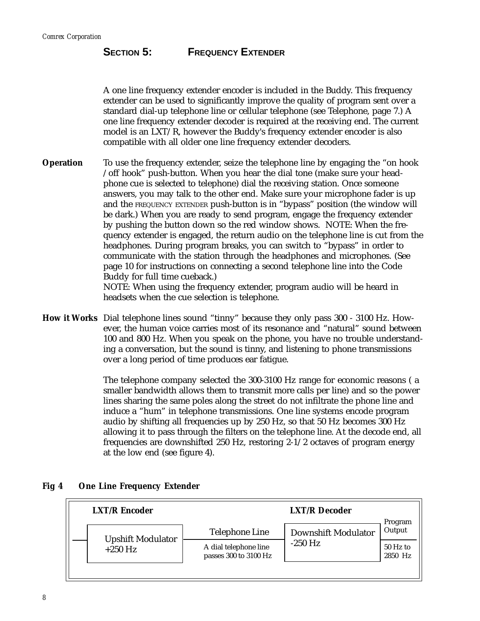# **SECTION 5:** FREQUENCY EXTENDER

A one line frequency extender encoder is included in the Buddy. This frequency extender can be used to significantly improve the quality of program sent over a standard dial-up telephone line or cellular telephone (see Telephone, page 7.) A one line frequency extender decoder is required at the receiving end. The current model is an LXT/R, however the Buddy's frequency extender encoder is also compatible with all older one line frequency extender decoders.

To use the frequency extender, seize the telephone line by engaging the "on hook /off hook" push-button. When you hear the dial tone (make sure your headphone cue is selected to telephone) dial the receiving station. Once someone answers, you may talk to the other end. Make sure your microphone fader is up and the FREQUENCY EXTENDER push-button is in "bypass" position (the window will be dark.) When you are ready to send program, engage the frequency extender by pushing the button down so the red window shows. NOTE: When the frequency extender is engaged, the return audio on the telephone line is cut from the headphones. During program breaks, you can switch to "bypass" in order to communicate with the station through the headphones and microphones. (See page 10 for instructions on connecting a second telephone line into the Code Buddy for full time cueback.) NOTE: When using the frequency extender, program audio will be heard in **Operation**

headsets when the cue selection is telephone.

**How it Works** Dial telephone lines sound "tinny" because they only pass 300 - 3100 Hz. However, the human voice carries most of its resonance and "natural" sound between 100 and 800 Hz. When you speak on the phone, you have no trouble understanding a conversation, but the sound is tinny, and listening to phone transmissions over a long period of time produces ear fatigue.

> The telephone company selected the 300-3100 Hz range for economic reasons ( a smaller bandwidth allows them to transmit more calls per line) and so the power lines sharing the same poles along the street do not infiltrate the phone line and induce a "hum" in telephone transmissions. One line systems encode program audio by shifting all frequencies up by 250 Hz, so that 50 Hz becomes 300 Hz allowing it to pass through the filters on the telephone line. At the decode end, all frequencies are downshifted 250 Hz, restoring 2-1/2 octaves of program energy at the low end (see figure 4).

| <b>LXT/R Encoder</b> |                          | <b>LXT/R</b> Decoder                           |                            | Program             |
|----------------------|--------------------------|------------------------------------------------|----------------------------|---------------------|
|                      | <b>Upshift Modulator</b> | <b>Telephone Line</b>                          | <b>Downshift Modulator</b> | Output              |
|                      | $+250$ Hz                | A dial telephone line<br>passes 300 to 3100 Hz | $-250$ Hz                  | 50 Hz to<br>2850 Hz |
|                      |                          |                                                |                            |                     |

#### **Fig 4 One Line Frequency Extender**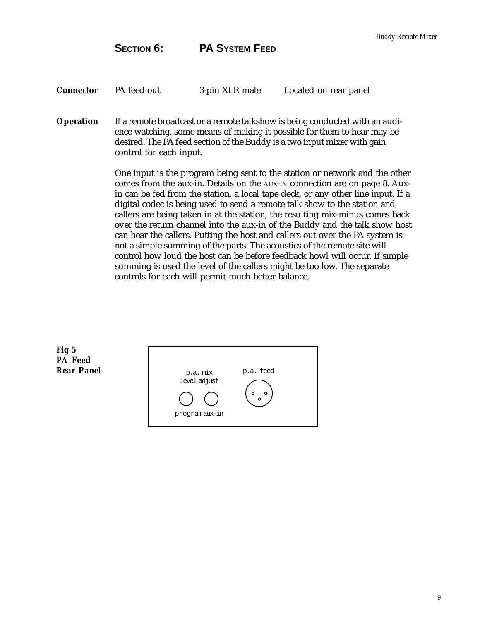**SECTION 6:** PA SYSTEM FEED

| Connector | PA feed out | 3-pin XLR male | Located on rear panel |
|-----------|-------------|----------------|-----------------------|
|-----------|-------------|----------------|-----------------------|

If a remote broadcast or a remote talkshow is being conducted with an audience watching, some means of making it possible for them to hear may be desired. The PA feed section of the Buddy is a two input mixer with gain control for each input. **Operation**

> One input is the program being sent to the station or network and the other comes from the aux-in. Details on the AUX-IN connection are on page 8. Auxin can be fed from the station, a local tape deck, or any other line input. If a digital codec is being used to send a remote talk show to the station and callers are being taken in at the station, the resulting mix-minus comes back over the return channel into the aux-in of the Buddy and the talk show host can hear the callers. Putting the host and callers out over the PA system is not a simple summing of the parts. The acoustics of the remote site will control how loud the host can be before feedback howl will occur. If simple summing is used the level of the callers might be too low. The separate controls for each will permit much better balance.

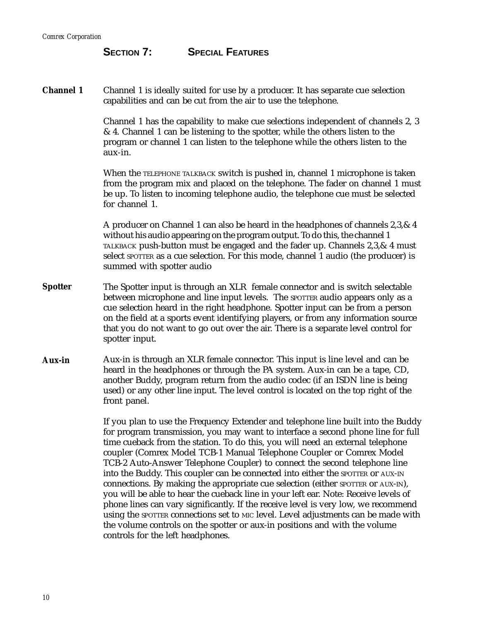# **SECTION 7: SPECIAL FEATURES**

**Channel 1** Channel 1 is ideally suited for use by a producer. It has separate cue selection capabilities and can be cut from the air to use the telephone.

> Channel 1 has the capability to make cue selections independent of channels 2, 3 & 4. Channel 1 can be listening to the spotter, while the others listen to the program or channel 1 can listen to the telephone while the others listen to the aux-in.

> When the TELEPHONE TALKBACK switch is pushed in, channel 1 microphone is taken from the program mix and placed on the telephone. The fader on channel 1 must be up. To listen to incoming telephone audio, the telephone cue must be selected for channel 1.

A producer on Channel 1 can also be heard in the headphones of channels 2,3,& 4 without his audio appearing on the program output. To do this, the channel 1 TALKBACK push-button must be engaged and the fader up. Channels 2,3,& 4 must select sporter as a cue selection. For this mode, channel 1 audio (the producer) is summed with spotter audio

- **Spotter** The Spotter input is through an XLR female connector and is switch selectable between microphone and line input levels. The SPOTTER audio appears only as a cue selection heard in the right headphone. Spotter input can be from a person on the field at a sports event identifying players, or from any information source that you do not want to go out over the air. There is a separate level control for spotter input.
- **Aux-in** Aux-in is through an XLR female connector. This input is line level and can be heard in the headphones or through the PA system. Aux-in can be a tape, CD, another Buddy, program return from the audio codec (if an ISDN line is being used) or any other line input. The level control is located on the top right of the front panel.

If you plan to use the Frequency Extender and telephone line built into the Buddy for program transmission, you may want to interface a second phone line for full time cueback from the station. To do this, you will need an external telephone coupler (Comrex Model TCB-1 Manual Telephone Coupler or Comrex Model TCB-2 Auto-Answer Telephone Coupler) to connect the second telephone line into the Buddy. This coupler can be connected into either the SPOTTER OF AUX-IN connections. By making the appropriate cue selection (either SPOTTER or AUX-IN), you will be able to hear the cueback line in your left ear. Note: Receive levels of phone lines can vary significantly. If the receive level is very low, we recommend using the SPOTTER connections set to MIC level. Level adjustments can be made with the volume controls on the spotter or aux-in positions and with the volume controls for the left headphones.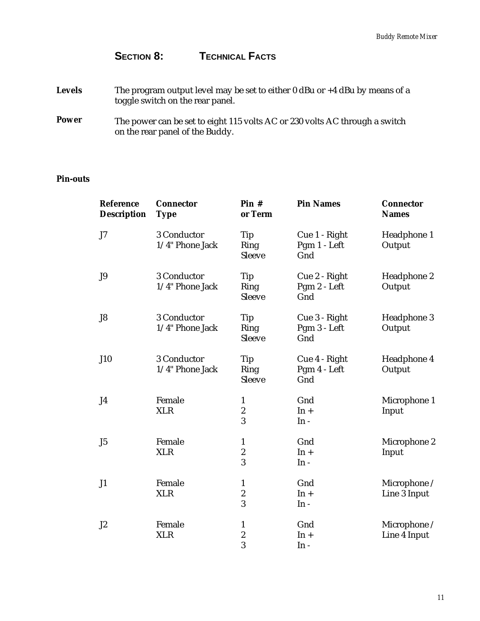# SECTION 8: **TECHNICAL FACTS**

| <b>Levels</b> | The program output level may be set to either 0 dBu or $+4$ dBu by means of a<br>toggle switch on the rear panel. |
|---------------|-------------------------------------------------------------------------------------------------------------------|
| <b>Power</b>  | The power can be set to eight 115 volts AC or 230 volts AC through a switch<br>on the rear panel of the Buddy.    |

# **Pin-outs**

| Reference<br><b>Description</b> | <b>Connector</b><br><b>Type</b> | Pin#<br>or Term                       | <b>Pin Names</b>                     | <b>Connector</b><br><b>Names</b> |
|---------------------------------|---------------------------------|---------------------------------------|--------------------------------------|----------------------------------|
| J7                              | 3 Conductor<br>1/4" Phone Jack  | Tip<br>Ring<br>Sleeve                 | Cue 1 - Right<br>Pgm 1 - Left<br>Gnd | Headphone 1<br>Output            |
| J9                              | 3 Conductor<br>1/4" Phone Jack  | Tip<br>Ring<br>Sleeve                 | Cue 2 - Right<br>Pgm 2 - Left<br>Gnd | Headphone 2<br>Output            |
| J8                              | 3 Conductor<br>1/4" Phone Jack  | Tip<br>Ring<br>Sleeve                 | Cue 3 - Right<br>Pgm 3 - Left<br>Gnd | Headphone 3<br>Output            |
| <b>J10</b>                      | 3 Conductor<br>1/4" Phone Jack  | Tip<br>Ring<br>Sleeve                 | Cue 4 - Right<br>Pgm 4 - Left<br>Gnd | Headphone 4<br>Output            |
| J4                              | Female<br><b>XLR</b>            | $\mathbf{1}$<br>$\boldsymbol{2}$<br>3 | Gnd<br>$In +$<br>$In -$              | Microphone 1<br>Input            |
| J5                              | Female<br><b>XLR</b>            | $\mathbf{1}$<br>$\boldsymbol{2}$<br>3 | Gnd<br>$In +$<br>$In -$              | Microphone 2<br>Input            |
| J1                              | Female<br><b>XLR</b>            | $\mathbf{1}$<br>$\boldsymbol{2}$<br>3 | Gnd<br>$In +$<br>$In -$              | Microphone /<br>Line 3 Input     |
| J2                              | Female<br><b>XLR</b>            | $\mathbf{1}$<br>$\boldsymbol{2}$<br>3 | Gnd<br>$In +$<br>$In -$              | Microphone /<br>Line 4 Input     |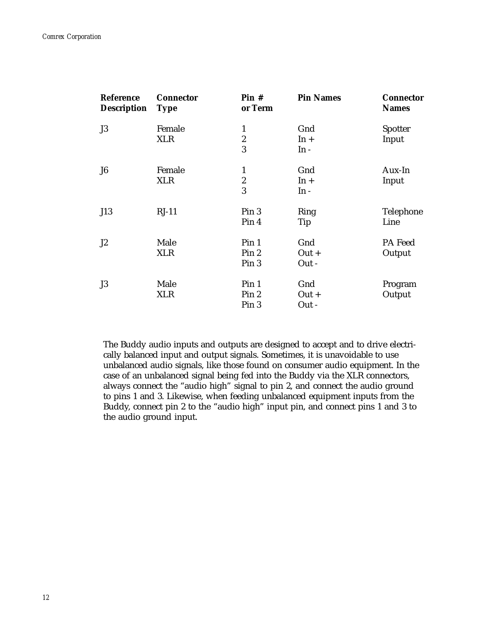| <b>Reference</b><br><b>Description</b> | <b>Connector</b><br><b>Type</b> | Pin#<br>or Term  | <b>Pin Names</b> | <b>Connector</b><br><b>Names</b> |
|----------------------------------------|---------------------------------|------------------|------------------|----------------------------------|
| J3                                     | Female                          | $\mathbf{1}$     | Gnd              | Spotter                          |
|                                        | <b>XLR</b>                      | $\boldsymbol{2}$ | $In +$           | Input                            |
|                                        |                                 | 3                | $In -$           |                                  |
| J <sub>6</sub>                         | Female                          | $\mathbf{1}$     | Gnd              | Aux-In                           |
|                                        | <b>XLR</b>                      | $\boldsymbol{2}$ | $In +$           | Input                            |
|                                        |                                 | 3                | $In -$           |                                  |
| J13                                    | $RJ-11$                         | Pin 3            | Ring             | Telephone                        |
|                                        |                                 | Pin 4            | Tip              | Line                             |
| J <sub>2</sub>                         | Male                            | Pin <sub>1</sub> | Gnd              | PA Feed                          |
|                                        | <b>XLR</b>                      | Pin 2            | $Out +$          | Output                           |
|                                        |                                 | Pin 3            | Out -            |                                  |
| J3                                     | Male                            | Pin <sub>1</sub> | Gnd              | Program                          |
|                                        | <b>XLR</b>                      | Pin 2            | $Out +$          | Output                           |
|                                        |                                 | Pin 3            | Out -            |                                  |

The Buddy audio inputs and outputs are designed to accept and to drive electrically balanced input and output signals. Sometimes, it is unavoidable to use unbalanced audio signals, like those found on consumer audio equipment. In the case of an unbalanced signal being fed into the Buddy via the XLR connectors, always connect the "audio high" signal to pin 2, and connect the audio ground to pins 1 and 3. Likewise, when feeding unbalanced equipment inputs from the Buddy, connect pin 2 to the "audio high" input pin, and connect pins 1 and 3 to the audio ground input.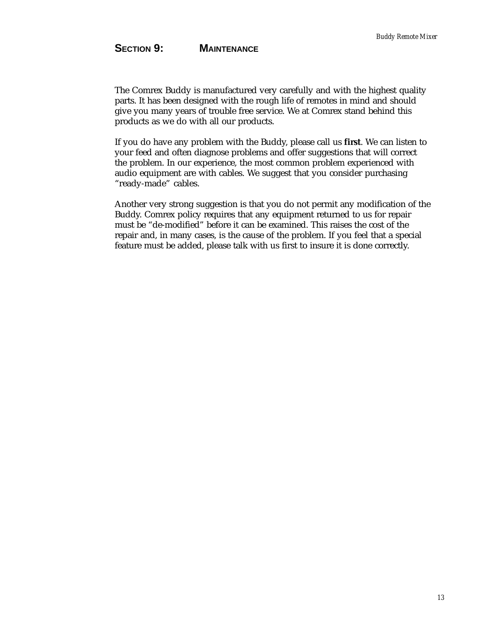# SECTION 9: **MAINTENANCE**

The Comrex Buddy is manufactured very carefully and with the highest quality parts. It has been designed with the rough life of remotes in mind and should give you many years of trouble free service. We at Comrex stand behind this products as we do with all our products.

If you do have any problem with the Buddy, please call us **first**. We can listen to your feed and often diagnose problems and offer suggestions that will correct the problem. In our experience, the most common problem experienced with audio equipment are with cables. We suggest that you consider purchasing "ready-made" cables.

Another very strong suggestion is that you do not permit any modification of the Buddy. Comrex policy requires that any equipment returned to us for repair must be "de-modified" before it can be examined. This raises the cost of the repair and, in many cases, is the cause of the problem. If you feel that a special feature must be added, please talk with us first to insure it is done correctly.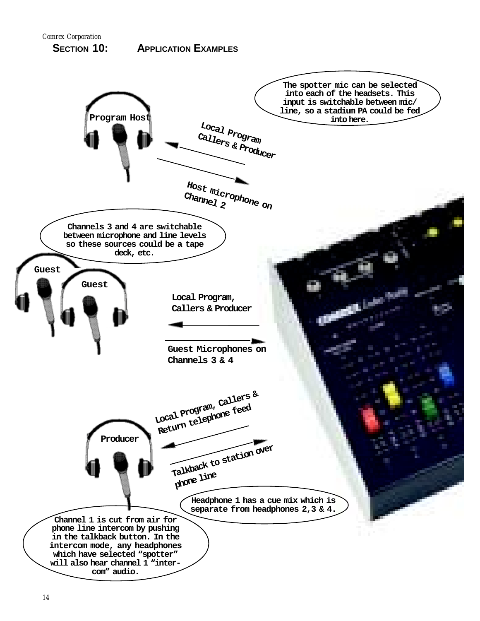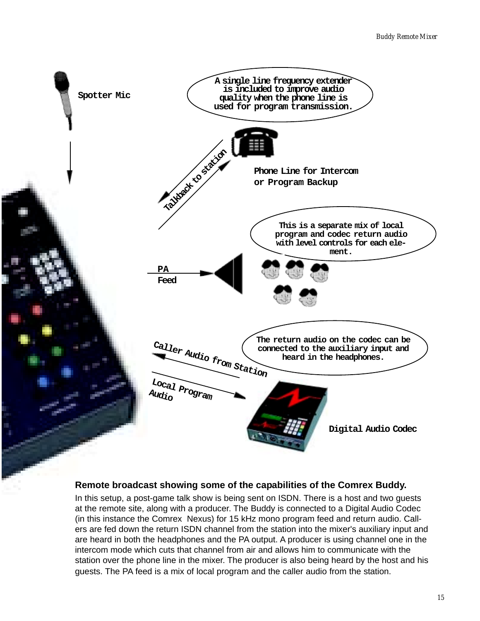

### **Remote broadcast showing some of the capabilities of the Comrex Buddy.**

In this setup, a post-game talk show is being sent on ISDN. There is a host and two guests at the remote site, along with a producer. The Buddy is connected to a Digital Audio Codec (in this instance the Comrex Nexus) for 15 kHz mono program feed and return audio. Callers are fed down the return ISDN channel from the station into the mixer's auxiliary input and are heard in both the headphones and the PA output. A producer is using channel one in the intercom mode which cuts that channel from air and allows him to communicate with the station over the phone line in the mixer. The producer is also being heard by the host and his guests. The PA feed is a mix of local program and the caller audio from the station.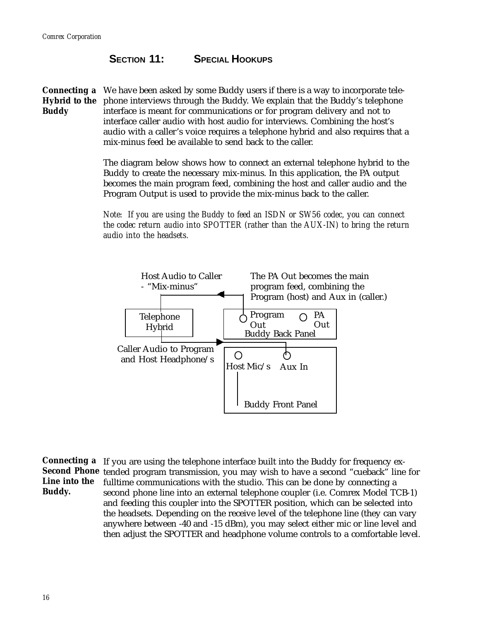# **SECTION 11:** SPECIAL HOOKUPS

**Connecting a** We have been asked by some Buddy users if there is a way to incorporate tele-**Hybrid to the** phone interviews through the Buddy. We explain that the Buddy's telephone **Buddy** interface is meant for communications or for program delivery and not to interface caller audio with host audio for interviews. Combining the host's audio with a caller's voice requires a telephone hybrid and also requires that a mix-minus feed be available to send back to the caller.

> The diagram below shows how to connect an external telephone hybrid to the Buddy to create the necessary mix-minus. In this application, the PA output becomes the main program feed, combining the host and caller audio and the Program Output is used to provide the mix-minus back to the caller.

> *Note: If you are using the Buddy to feed an ISDN or SW56 codec, you can connect the codec return audio into SPOTTER (rather than the AUX-IN) to bring the return audio into the headsets.*



**Connecting a** If you are using the telephone interface built into the Buddy for frequency ex-**Second Phone** tended program transmission, you may wish to have a second "cueback" line for **Line into the** fulltime communications with the studio. This can be done by connecting a **Buddy.** second phone line into an external telephone coupler (i.e. Comrex Model TCB-1) and feeding this coupler into the SPOTTER position, which can be selected into the headsets. Depending on the receive level of the telephone line (they can vary anywhere between -40 and -15 dBm), you may select either mic or line level and then adjust the SPOTTER and headphone volume controls to a comfortable level.